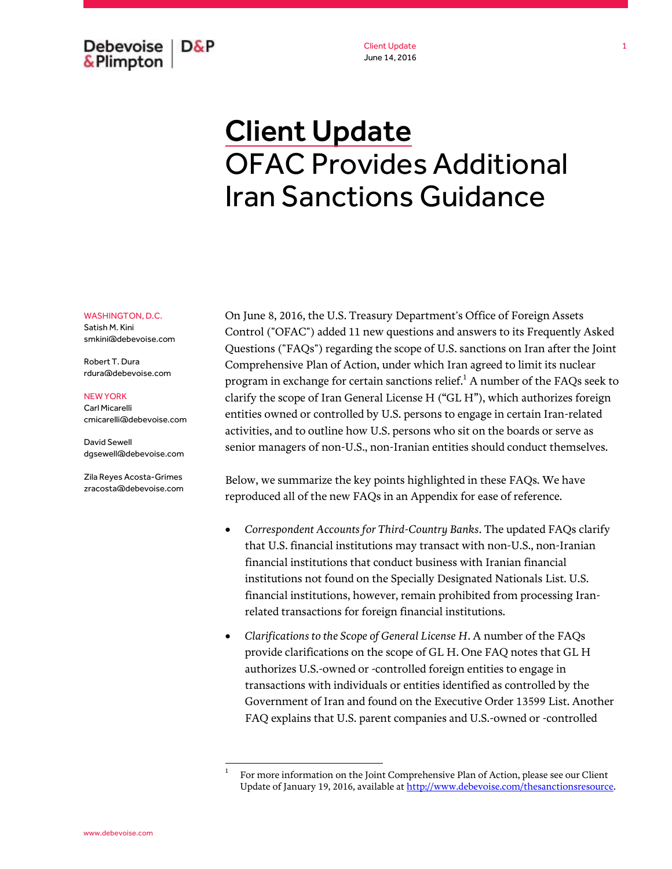Debevoise  $D\&P$ & Plimpton

Client Update June 14, 2016

# Client Update OFAC Provides Additional Iran Sanctions Guidance

#### WASHINGTON, D.C.

Satish M. Kini smkini@debevoise.com

Robert T. Dura rdura@debevoise.com

#### NEW YORK

Carl Micarelli cmicarelli@debevoise.com

David Sewell dgsewell@debevoise.com

Zila Reyes Acosta-Grimes zracosta@debevoise.com

On June 8, 2016, the U.S. Treasury Department's Office of Foreign Assets Control ("OFAC") added 11 new questions and answers to its Frequently Asked Questions ("FAQs") regarding the scope of U.S. sanctions on Iran after the Joint Comprehensive Plan of Action, under which Iran agreed to limit its nuclear program in exchange for certain sanctions relief.<sup>1</sup> A number of the FAQs seek to clarify the scope of Iran General License H ("GL H"), which authorizes foreign entities owned or controlled by U.S. persons to engage in certain Iran-related activities, and to outline how U.S. persons who sit on the boards or serve as senior managers of non-U.S., non-Iranian entities should conduct themselves.

Below, we summarize the key points highlighted in these FAQs. We have reproduced all of the new FAQs in an Appendix for ease of reference.

- *Correspondent Accounts for Third-Country Banks*. The updated FAQs clarify that U.S. financial institutions may transact with non-U.S., non-Iranian financial institutions that conduct business with Iranian financial institutions not found on the Specially Designated Nationals List. U.S. financial institutions, however, remain prohibited from processing Iranrelated transactions for foreign financial institutions.
- *Clarifications to the Scope of General License H*. A number of the FAQs provide clarifications on the scope of GL H. One FAQ notes that GL H authorizes U.S.-owned or -controlled foreign entities to engage in transactions with individuals or entities identified as controlled by the Government of Iran and found on the Executive Order 13599 List. Another FAQ explains that U.S. parent companies and U.S.-owned or -controlled

 $\overline{a}$ 1

For more information on the Joint Comprehensive Plan of Action, please see our Client Update of January 19, 2016, available a[t http://www.debevoise.com/thesanctionsresource.](http://www.debevoise.com/thesanctionsresource)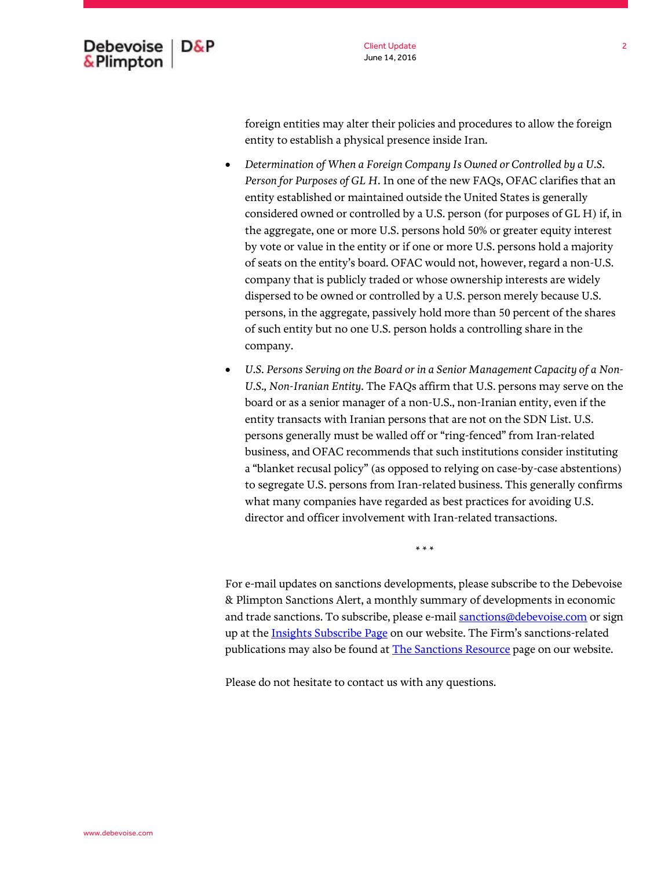

foreign entities may alter their policies and procedures to allow the foreign entity to establish a physical presence inside Iran.

- *Determination of When a Foreign Company Is Owned or Controlled by a U.S. Person for Purposes of GL H*. In one of the new FAQs, OFAC clarifies that an entity established or maintained outside the United States is generally considered owned or controlled by a U.S. person (for purposes of GL H) if, in the aggregate, one or more U.S. persons hold 50% or greater equity interest by vote or value in the entity or if one or more U.S. persons hold a majority of seats on the entity's board. OFAC would not, however, regard a non-U.S. company that is publicly traded or whose ownership interests are widely dispersed to be owned or controlled by a U.S. person merely because U.S. persons, in the aggregate, passively hold more than 50 percent of the shares of such entity but no one U.S. person holds a controlling share in the company.
- *U.S. Persons Serving on the Board or in a Senior Management Capacity of a Non-U.S., Non-Iranian Entity*. The FAQs affirm that U.S. persons may serve on the board or as a senior manager of a non-U.S., non-Iranian entity, even if the entity transacts with Iranian persons that are not on the SDN List. U.S. persons generally must be walled off or "ring-fenced" from Iran-related business, and OFAC recommends that such institutions consider instituting a "blanket recusal policy" (as opposed to relying on case-by-case abstentions) to segregate U.S. persons from Iran-related business. This generally confirms what many companies have regarded as best practices for avoiding U.S. director and officer involvement with Iran-related transactions.

\* \* \*

For e-mail updates on sanctions developments, please subscribe to the Debevoise & Plimpton Sanctions Alert, a monthly summary of developments in economic and trade sanctions. To subscribe, please e-mai[l sanctions@debevoise.com](mailto:sanctions@debevoise.com?subject=Please%20subscribe%20me%20to%20the%20Sanctions%20Alert) or sign up at the **Insights Subscribe Page** on our website. The Firm's sanctions-related publications may also be found at **The Sanctions Resource** page on our website.

Please do not hesitate to contact us with any questions.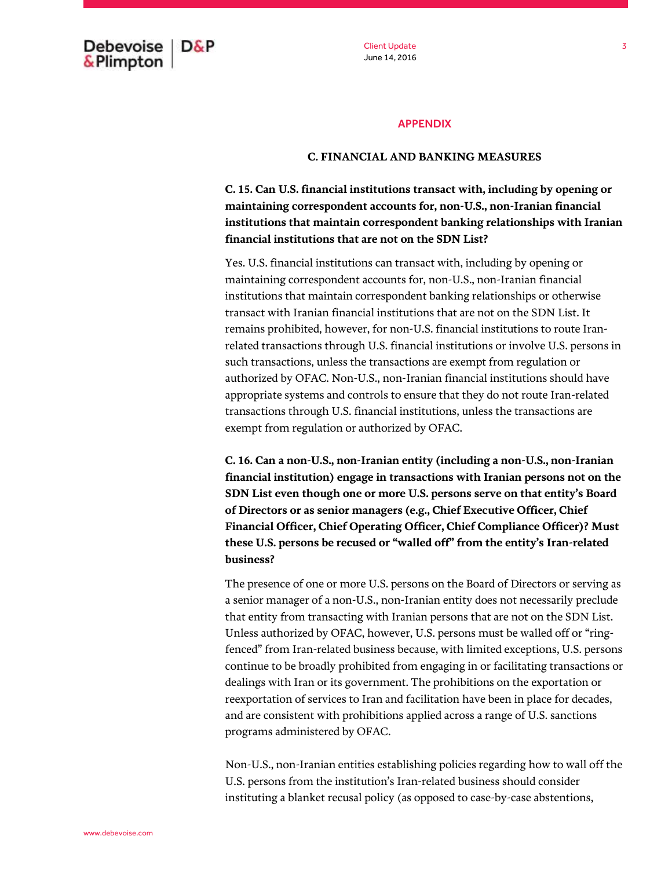Debevoise  $D\&P$ & Plimpton

Client Update June 14, 2016

## APPENDIX

### **C. FINANCIAL AND BANKING MEASURES**

**C. 15. Can U.S. financial institutions transact with, including by opening or maintaining correspondent accounts for, non-U.S., non-Iranian financial institutions that maintain correspondent banking relationships with Iranian financial institutions that are not on the SDN List?**

Yes. U.S. financial institutions can transact with, including by opening or maintaining correspondent accounts for, non-U.S., non-Iranian financial institutions that maintain correspondent banking relationships or otherwise transact with Iranian financial institutions that are not on the SDN List. It remains prohibited, however, for non-U.S. financial institutions to route Iranrelated transactions through U.S. financial institutions or involve U.S. persons in such transactions, unless the transactions are exempt from regulation or authorized by OFAC. Non-U.S., non-Iranian financial institutions should have appropriate systems and controls to ensure that they do not route Iran-related transactions through U.S. financial institutions, unless the transactions are exempt from regulation or authorized by OFAC.

**C. 16. Can a non-U.S., non-Iranian entity (including a non-U.S., non-Iranian financial institution) engage in transactions with Iranian persons not on the SDN List even though one or more U.S. persons serve on that entity's Board of Directors or as senior managers (e.g., Chief Executive Officer, Chief Financial Officer, Chief Operating Officer, Chief Compliance Officer)? Must these U.S. persons be recused or "walled off" from the entity's Iran-related business?**

The presence of one or more U.S. persons on the Board of Directors or serving as a senior manager of a non-U.S., non-Iranian entity does not necessarily preclude that entity from transacting with Iranian persons that are not on the SDN List. Unless authorized by OFAC, however, U.S. persons must be walled off or "ringfenced" from Iran-related business because, with limited exceptions, U.S. persons continue to be broadly prohibited from engaging in or facilitating transactions or dealings with Iran or its government. The prohibitions on the exportation or reexportation of services to Iran and facilitation have been in place for decades, and are consistent with prohibitions applied across a range of U.S. sanctions programs administered by OFAC.

Non-U.S., non-Iranian entities establishing policies regarding how to wall off the U.S. persons from the institution's Iran-related business should consider instituting a blanket recusal policy (as opposed to case-by-case abstentions,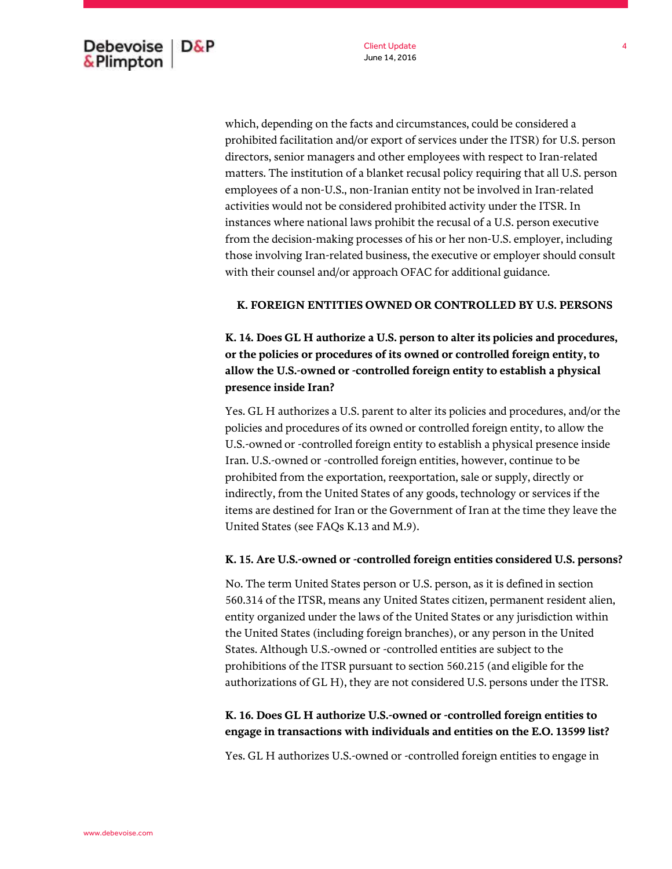which, depending on the facts and circumstances, could be considered a prohibited facilitation and/or export of services under the ITSR) for U.S. person directors, senior managers and other employees with respect to Iran-related matters. The institution of a blanket recusal policy requiring that all U.S. person employees of a non-U.S., non-Iranian entity not be involved in Iran-related activities would not be considered prohibited activity under the ITSR. In instances where national laws prohibit the recusal of a U.S. person executive from the decision-making processes of his or her non-U.S. employer, including those involving Iran-related business, the executive or employer should consult with their counsel and/or approach OFAC for additional guidance.

#### **K. FOREIGN ENTITIES OWNED OR CONTROLLED BY U.S. PERSONS**

**K. 14. Does GL H authorize a U.S. person to alter its policies and procedures, or the policies or procedures of its owned or controlled foreign entity, to allow the U.S.-owned or -controlled foreign entity to establish a physical presence inside Iran?**

Yes. GL H authorizes a U.S. parent to alter its policies and procedures, and/or the policies and procedures of its owned or controlled foreign entity, to allow the U.S.-owned or -controlled foreign entity to establish a physical presence inside Iran. U.S.-owned or -controlled foreign entities, however, continue to be prohibited from the exportation, reexportation, sale or supply, directly or indirectly, from the United States of any goods, technology or services if the items are destined for Iran or the Government of Iran at the time they leave the United States (see FAQs K.13 and M.9).

#### **K. 15. Are U.S.-owned or -controlled foreign entities considered U.S. persons?**

No. The term United States person or U.S. person, as it is defined in section 560.314 of the ITSR, means any United States citizen, permanent resident alien, entity organized under the laws of the United States or any jurisdiction within the United States (including foreign branches), or any person in the United States. Although U.S.-owned or -controlled entities are subject to the prohibitions of the ITSR pursuant to section 560.215 (and eligible for the authorizations of GL H), they are not considered U.S. persons under the ITSR.

## **K. 16. Does GL H authorize U.S.-owned or -controlled foreign entities to engage in transactions with individuals and entities on the E.O. 13599 list?**

Yes. GL H authorizes U.S.-owned or -controlled foreign entities to engage in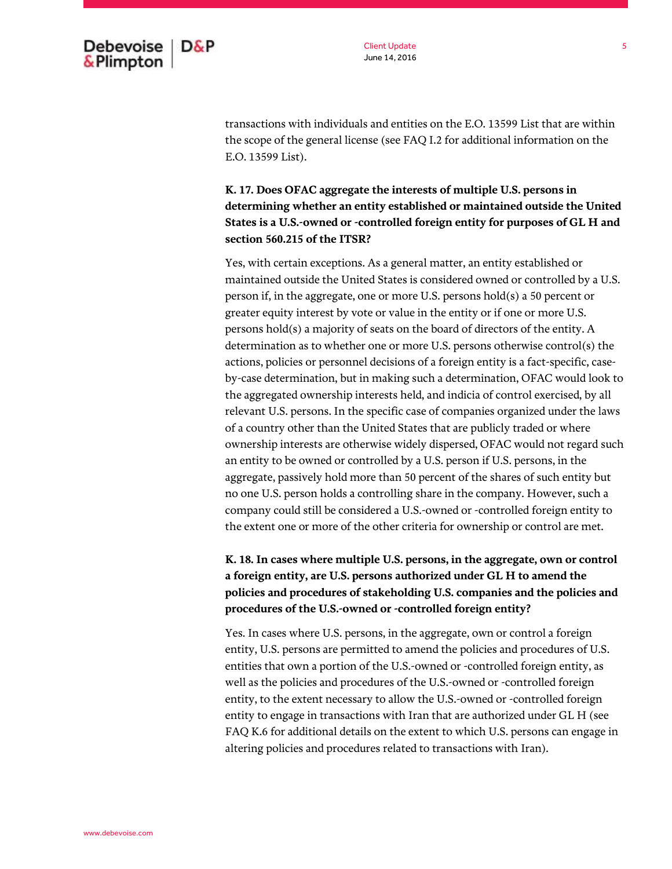

transactions with individuals and entities on the E.O. 13599 List that are within the scope of the general license (see FAQ I.2 for additional information on the E.O. 13599 List).

**K. 17. Does OFAC aggregate the interests of multiple U.S. persons in determining whether an entity established or maintained outside the United States is a U.S.-owned or -controlled foreign entity for purposes of GL H and section 560.215 of the ITSR?**

Yes, with certain exceptions. As a general matter, an entity established or maintained outside the United States is considered owned or controlled by a U.S. person if, in the aggregate, one or more U.S. persons hold(s) a 50 percent or greater equity interest by vote or value in the entity or if one or more U.S. persons hold(s) a majority of seats on the board of directors of the entity. A determination as to whether one or more U.S. persons otherwise control(s) the actions, policies or personnel decisions of a foreign entity is a fact-specific, caseby-case determination, but in making such a determination, OFAC would look to the aggregated ownership interests held, and indicia of control exercised, by all relevant U.S. persons. In the specific case of companies organized under the laws of a country other than the United States that are publicly traded or where ownership interests are otherwise widely dispersed, OFAC would not regard such an entity to be owned or controlled by a U.S. person if U.S. persons, in the aggregate, passively hold more than 50 percent of the shares of such entity but no one U.S. person holds a controlling share in the company. However, such a company could still be considered a U.S.-owned or -controlled foreign entity to the extent one or more of the other criteria for ownership or control are met.

# **K. 18. In cases where multiple U.S. persons, in the aggregate, own or control a foreign entity, are U.S. persons authorized under GL H to amend the policies and procedures of stakeholding U.S. companies and the policies and procedures of the U.S.-owned or -controlled foreign entity?**

Yes. In cases where U.S. persons, in the aggregate, own or control a foreign entity, U.S. persons are permitted to amend the policies and procedures of U.S. entities that own a portion of the U.S.-owned or -controlled foreign entity, as well as the policies and procedures of the U.S.-owned or -controlled foreign entity, to the extent necessary to allow the U.S.-owned or -controlled foreign entity to engage in transactions with Iran that are authorized under GL H (see FAQ K.6 for additional details on the extent to which U.S. persons can engage in altering policies and procedures related to transactions with Iran).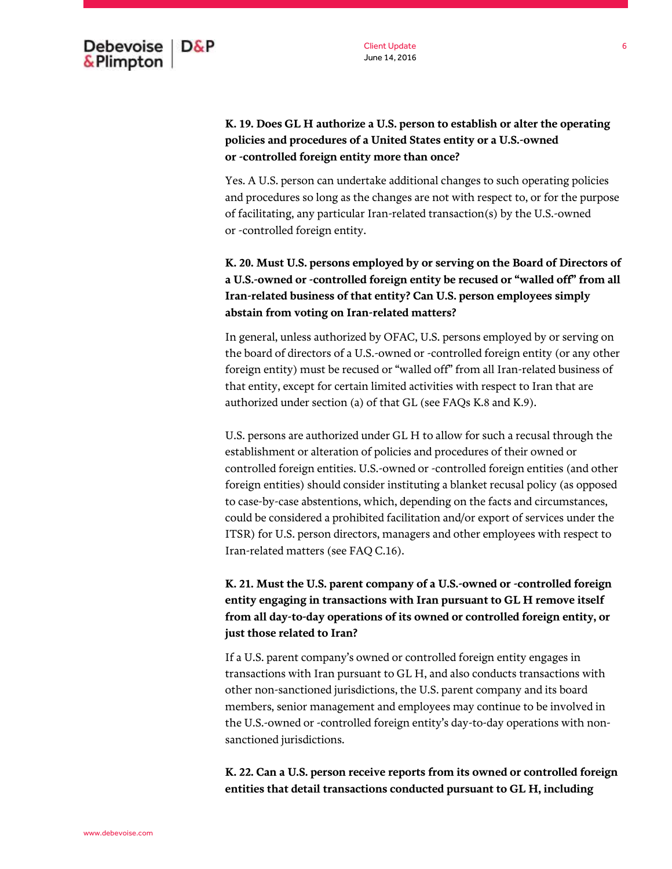## **K. 19. Does GL H authorize a U.S. person to establish or alter the operating policies and procedures of a United States entity or a U.S.-owned or -controlled foreign entity more than once?**

Yes. A U.S. person can undertake additional changes to such operating policies and procedures so long as the changes are not with respect to, or for the purpose of facilitating, any particular Iran-related transaction(s) by the U.S.-owned or -controlled foreign entity.

**K. 20. Must U.S. persons employed by or serving on the Board of Directors of a U.S.-owned or -controlled foreign entity be recused or "walled off" from all Iran-related business of that entity? Can U.S. person employees simply abstain from voting on Iran-related matters?**

In general, unless authorized by OFAC, U.S. persons employed by or serving on the board of directors of a U.S.-owned or -controlled foreign entity (or any other foreign entity) must be recused or "walled off" from all Iran-related business of that entity, except for certain limited activities with respect to Iran that are authorized under section (a) of that GL (see FAQs K.8 and K.9).

U.S. persons are authorized under GL H to allow for such a recusal through the establishment or alteration of policies and procedures of their owned or controlled foreign entities. U.S.-owned or -controlled foreign entities (and other foreign entities) should consider instituting a blanket recusal policy (as opposed to case-by-case abstentions, which, depending on the facts and circumstances, could be considered a prohibited facilitation and/or export of services under the ITSR) for U.S. person directors, managers and other employees with respect to Iran-related matters (see FAQ C.16).

# **K. 21. Must the U.S. parent company of a U.S.-owned or -controlled foreign entity engaging in transactions with Iran pursuant to GL H remove itself from all day-to-day operations of its owned or controlled foreign entity, or just those related to Iran?**

If a U.S. parent company's owned or controlled foreign entity engages in transactions with Iran pursuant to GL H, and also conducts transactions with other non-sanctioned jurisdictions, the U.S. parent company and its board members, senior management and employees may continue to be involved in the U.S.-owned or -controlled foreign entity's day-to-day operations with nonsanctioned jurisdictions.

**K. 22. Can a U.S. person receive reports from its owned or controlled foreign entities that detail transactions conducted pursuant to GL H, including**